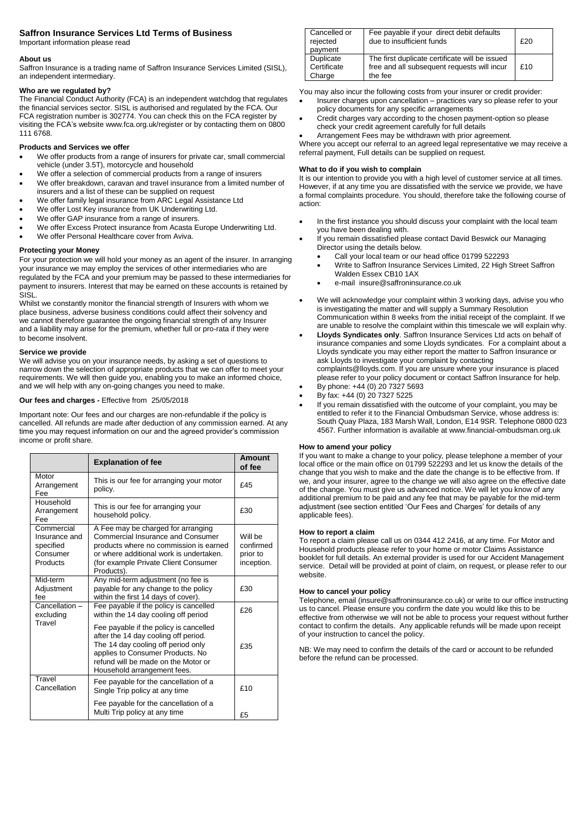## **Saffron Insurance Services Ltd Terms of Business**

Important information please read

### **About us**

Saffron Insurance is a trading name of Saffron Insurance Services Limited (SISL), an independent intermediary.

## **Who are we regulated by?**

The Financial Conduct Authority (FCA) is an independent watchdog that regulates the financial services sector. SISL is authorised and regulated by the FCA. Our FCA registration number is 302774. You can check this on the FCA register by visiting the FCA's website www.fca.org.uk/register or by contacting them on 0800 111 6768.

## **Products and Services we offer**

- We offer products from a range of insurers for private car, small commercial vehicle (under 3.5T), motorcycle and household
- We offer a selection of commercial products from a range of insurers We offer breakdown, caravan and travel insurance from a limited number of
- insurers and a list of these can be supplied on request
- We offer family legal insurance from ARC Legal Assistance Ltd
- We offer Lost Key insurance from UK Underwriting Ltd.
- We offer GAP insurance from a range of insurers.
- We offer Excess Protect insurance from Acasta Europe Underwriting Ltd. We offer Personal Healthcare cover from Aviva.

# **Protecting your Money**

For your protection we will hold your money as an agent of the insurer. In arranging your insurance we may employ the services of other intermediaries who are regulated by the FCA and your premium may be passed to these intermediaries for payment to insurers. Interest that may be earned on these accounts is retained by SISL.

Whilst we constantly monitor the financial strength of Insurers with whom we place business, adverse business conditions could affect their solvency and we cannot therefore guarantee the ongoing financial strength of any Insurer and a liability may arise for the premium, whether full or pro-rata if they were to become insolvent.

# **Service we provide**

We will advise you on your insurance needs, by asking a set of questions to narrow down the selection of appropriate products that we can offer to meet your requirements. We will then guide you, enabling you to make an informed choice, and we will help with any on-going changes you need to make.

# **Our fees and charges -** Effective from 25/05/2018

Important note: Our fees and our charges are non-refundable if the policy is cancelled. All refunds are made after deduction of any commission earned. At any time you may request information on our and the agreed provider's commission income or profit share.

|                                                                  | <b>Explanation of fee</b>                                                                                                                                                                                                      | <b>Amount</b><br>of fee                        |
|------------------------------------------------------------------|--------------------------------------------------------------------------------------------------------------------------------------------------------------------------------------------------------------------------------|------------------------------------------------|
| Motor<br>Arrangement<br>Fee                                      | This is our fee for arranging your motor<br>policy.                                                                                                                                                                            | f45                                            |
| Household<br>Arrangement<br>Fee                                  | This is our fee for arranging your<br>household policy.                                                                                                                                                                        | £30                                            |
| Commercial<br>Insurance and<br>specified<br>Consumer<br>Products | A Fee may be charged for arranging<br>Commercial Insurance and Consumer<br>products where no commission is earned<br>or where additional work is undertaken.<br>(for example Private Client Consumer<br>Products).             | Will be<br>confirmed<br>prior to<br>inception. |
| Mid-term<br>Adjustment<br>fee                                    | Any mid-term adjustment (no fee is<br>payable for any change to the policy<br>within the first 14 days of cover).                                                                                                              | £30                                            |
| Cancellation-<br>excluding                                       | Fee payable if the policy is cancelled<br>within the 14 day cooling off period                                                                                                                                                 | £26                                            |
| Travel                                                           | Fee payable if the policy is cancelled<br>after the 14 day cooling off period.<br>The 14 day cooling off period only<br>applies to Consumer Products. No<br>refund will be made on the Motor or<br>Household arrangement fees. | £35                                            |
| Travel<br>Cancellation                                           | Fee payable for the cancellation of a<br>Single Trip policy at any time                                                                                                                                                        | f10                                            |
|                                                                  | Fee payable for the cancellation of a<br>Multi Trip policy at any time                                                                                                                                                         | £5                                             |

| Cancelled or<br>rejected<br>payment | Fee payable if your direct debit defaults<br>due to insufficient funds                                   | £20 |
|-------------------------------------|----------------------------------------------------------------------------------------------------------|-----|
| Duplicate<br>Certificate<br>Charge  | The first duplicate certificate will be issued<br>free and all subsequent requests will incur<br>the fee | f10 |
|                                     |                                                                                                          |     |

You may also incur the following costs from your insurer or credit provider:

- Insurer charges upon cancellation practices vary so please refer to your policy documents for any specific arrangements
- Credit charges vary according to the chosen payment-option so please check your credit agreement carefully for full details
- Arrangement Fees may be withdrawn with prior agreement.

Where you accept our referral to an agreed legal representative we may receive a referral payment, Full details can be supplied on request.

### **What to do if you wish to complain**

It is our intention to provide you with a high level of customer service at all times. However, if at any time you are dissatisfied with the service we provide, we have a formal complaints procedure. You should, therefore take the following course of action:

- In the first instance you should discuss your complaint with the local team you have been dealing with.
- If you remain dissatisfied please contact David Beswick our Managing Director using the details below.
	- Call your local team or our head office 01799 522293
	- Write to Saffron Insurance Services Limited, 22 High Street Saffron Walden Essex CB10 1AX
	- e-mail insure@saffroninsurance.co.uk
- We will acknowledge your complaint within 3 working days, advise you who is investigating the matter and will supply a Summary Resolution Communication within 8 weeks from the initial receipt of the complaint. If we are unable to resolve the complaint within this timescale we will explain why.
- **Lloyds Syndicates only**. Saffron Insurance Services Ltd acts on behalf of insurance companies and some Lloyds syndicates. For a complaint about a Lloyds syndicate you may either report the matter to Saffron Insurance or ask Lloyds to investigate your complaint by contacting complaints@lloyds.com. If you are unsure where your insurance is placed please refer to your policy document or contact Saffron Insurance for help.
- By phone: +44 (0) 20 7327 5693 By fax: +44 (0) 20 7327 5225
- If you remain dissatisfied with the outcome of your complaint, you may be entitled to refer it to the Financial Ombudsman Service, whose address is: South Quay Plaza, 183 Marsh Wall, London, E14 9SR. Telephone 0800 023

4567. Further information is available at www.financial-ombudsman.org.uk

# **How to amend your policy**

If you want to make a change to your policy, please telephone a member of your local office or the main office on 01799 522293 and let us know the details of the change that you wish to make and the date the change is to be effective from. If we, and your insurer, agree to the change we will also agree on the effective date of the change. You must give us advanced notice. We will let you know of any additional premium to be paid and any fee that may be payable for the mid-term adjustment (see section entitled 'Our Fees and Charges' for details of any applicable fees).

#### **How to report a claim**

To report a claim please call us on 0344 412 2416, at any time. For Motor and Household products please refer to your home or motor Claims Assistance booklet for full details. An external provider is used for our Accident Management service. Detail will be provided at point of claim, on request, or please refer to our website.

## **How to cancel your policy**

Telephone, email (insure@saffroninsurance.co.uk) or write to our office instructing us to cancel. Please ensure you confirm the date you would like this to be effective from otherwise we will not be able to process your request without further contact to confirm the details. Any applicable refunds will be made upon receipt of your instruction to cancel the policy.

NB: We may need to confirm the details of the card or account to be refunded before the refund can be processed.